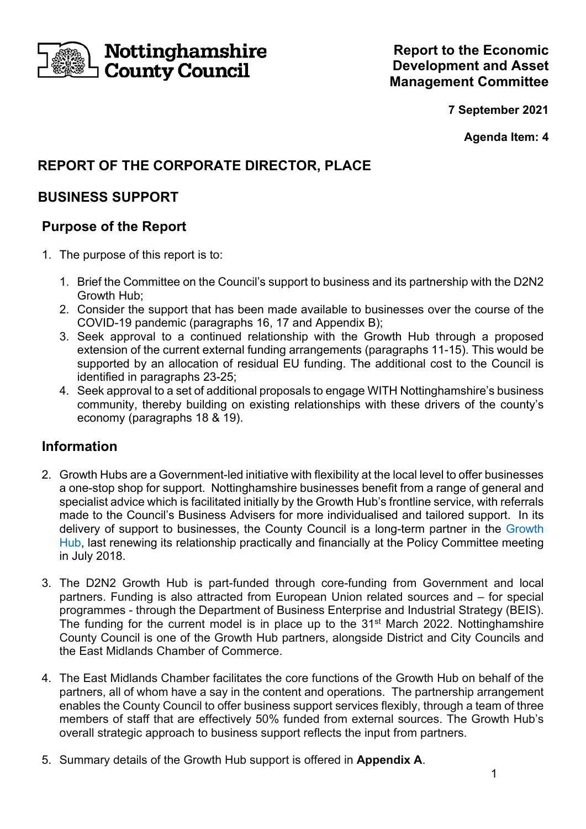

**7 September 2021** 

**Agenda Item: 4** 

# **REPORT OF THE CORPORATE DIRECTOR, PLACE**

# **BUSINESS SUPPORT**

# **Purpose of the Report**

- 1. The purpose of this report is to:
	- 1. Brief the Committee on the Council's support to business and its partnership with the D2N2 Growth Hub;
	- 2. Consider the support that has been made available to businesses over the course of the COVID-19 pandemic (paragraphs 16, 17 and Appendix B);
	- 3. Seek approval to a continued relationship with the Growth Hub through a proposed extension of the current external funding arrangements (paragraphs 11-15). This would be supported by an allocation of residual EU funding. The additional cost to the Council is identified in paragraphs 23-25;
	- 4. Seek approval to a set of additional proposals to engage WITH Nottinghamshire's business community, thereby building on existing relationships with these drivers of the county's economy (paragraphs 18 & 19).

## **Information**

- 2. Growth Hubs are a Government-led initiative with flexibility at the local level to offer businesses a one-stop shop for support. Nottinghamshire businesses benefit from a range of general and specialist advice which is facilitated initially by the Growth Hub's frontline service, with referrals made to the Council's Business Advisers for more individualised and tailored support. In its delivery of support to businesses, the County Council is a long-term partner in the Growth Hub, last renewing its relationship practically and financially at the Policy Committee meeting in July 2018.
- 3. The D2N2 Growth Hub is part-funded through core-funding from Government and local partners. Funding is also attracted from European Union related sources and – for special programmes - through the Department of Business Enterprise and Industrial Strategy (BEIS). The funding for the current model is in place up to the 31<sup>st</sup> March 2022. Nottinghamshire County Council is one of the Growth Hub partners, alongside District and City Councils and the East Midlands Chamber of Commerce.
- 4. The East Midlands Chamber facilitates the core functions of the Growth Hub on behalf of the partners, all of whom have a say in the content and operations. The partnership arrangement enables the County Council to offer business support services flexibly, through a team of three members of staff that are effectively 50% funded from external sources. The Growth Hub's overall strategic approach to business support reflects the input from partners.
- 5. Summary details of the Growth Hub support is offered in **Appendix A**.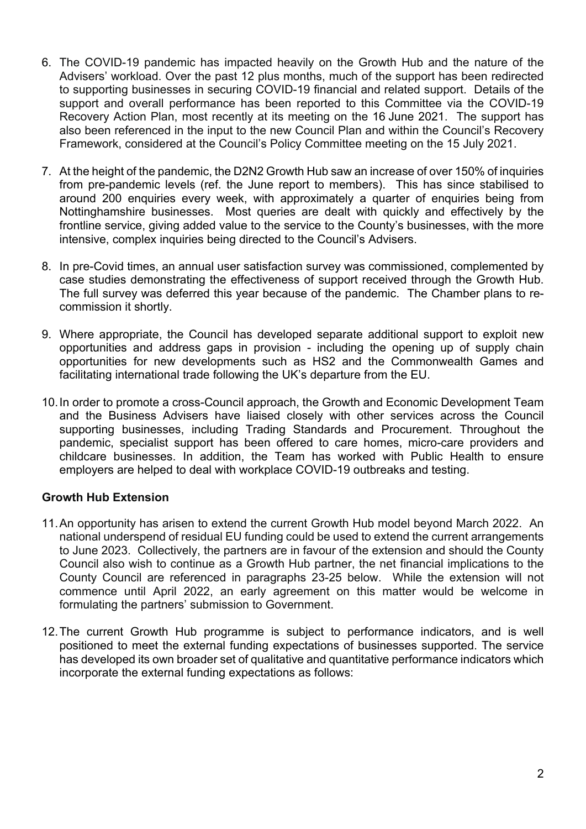- 6. The COVID-19 pandemic has impacted heavily on the Growth Hub and the nature of the Advisers' workload. Over the past 12 plus months, much of the support has been redirected to supporting businesses in securing COVID-19 financial and related support. Details of the support and overall performance has been reported to this Committee via the COVID-19 Recovery Action Plan, most recently at its meeting on the 16 June 2021. The support has also been referenced in the input to the new Council Plan and within the Council's Recovery Framework, considered at the Council's Policy Committee meeting on the 15 July 2021.
- 7. At the height of the pandemic, the D2N2 Growth Hub saw an increase of over 150% of inquiries from pre-pandemic levels (ref. the June report to members). This has since stabilised to around 200 enquiries every week, with approximately a quarter of enquiries being from Nottinghamshire businesses. Most queries are dealt with quickly and effectively by the frontline service, giving added value to the service to the County's businesses, with the more intensive, complex inquiries being directed to the Council's Advisers.
- 8. In pre-Covid times, an annual user satisfaction survey was commissioned, complemented by case studies demonstrating the effectiveness of support received through the Growth Hub. The full survey was deferred this year because of the pandemic. The Chamber plans to recommission it shortly.
- 9. Where appropriate, the Council has developed separate additional support to exploit new opportunities and address gaps in provision - including the opening up of supply chain opportunities for new developments such as HS2 and the Commonwealth Games and facilitating international trade following the UK's departure from the EU.
- 10. In order to promote a cross-Council approach, the Growth and Economic Development Team and the Business Advisers have liaised closely with other services across the Council supporting businesses, including Trading Standards and Procurement. Throughout the pandemic, specialist support has been offered to care homes, micro-care providers and childcare businesses. In addition, the Team has worked with Public Health to ensure employers are helped to deal with workplace COVID-19 outbreaks and testing.

### **Growth Hub Extension**

- 11. An opportunity has arisen to extend the current Growth Hub model beyond March 2022. An national underspend of residual EU funding could be used to extend the current arrangements to June 2023. Collectively, the partners are in favour of the extension and should the County Council also wish to continue as a Growth Hub partner, the net financial implications to the County Council are referenced in paragraphs 23-25 below. While the extension will not commence until April 2022, an early agreement on this matter would be welcome in formulating the partners' submission to Government.
- 12. The current Growth Hub programme is subject to performance indicators, and is well positioned to meet the external funding expectations of businesses supported. The service has developed its own broader set of qualitative and quantitative performance indicators which incorporate the external funding expectations as follows: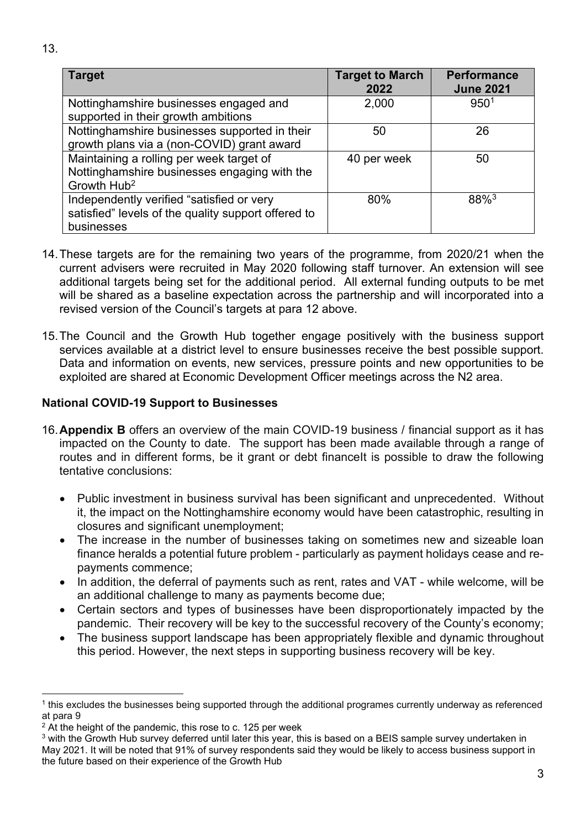| <b>Target</b>                                                                               | <b>Target to March</b><br>2022 | <b>Perform</b><br>June 2 |
|---------------------------------------------------------------------------------------------|--------------------------------|--------------------------|
| Nottinghamshire businesses engaged and<br>supported in their growth ambitions               | 2,000                          | 950                      |
| Nottinghamshire businesses supported in their<br>growth plans via a (non-COVID) grant award | 50                             | 26.                      |
| Maintaining a rolling per week target of                                                    | 40 per week                    | 50                       |

Nottinghamshire businesses engaging with the Growth Hub2 Independently verified "satisfied or very satisfied" levels of the quality support offered to businesses 80% 88%3

- 14. These targets are for the remaining two years of the programme, from 2020/21 when the current advisers were recruited in May 2020 following staff turnover. An extension will see additional targets being set for the additional period. All external funding outputs to be met will be shared as a baseline expectation across the partnership and will incorporated into a revised version of the Council's targets at para 12 above.
- 15. The Council and the Growth Hub together engage positively with the business support services available at a district level to ensure businesses receive the best possible support. Data and information on events, new services, pressure points and new opportunities to be exploited are shared at Economic Development Officer meetings across the N2 area.

### **National COVID-19 Support to Businesses**

- 16. **Appendix B** offers an overview of the main COVID-19 business / financial support as it has impacted on the County to date. The support has been made available through a range of routes and in different forms, be it grant or debt financelt is possible to draw the following tentative conclusions:
	- Public investment in business survival has been significant and unprecedented. Without it, the impact on the Nottinghamshire economy would have been catastrophic, resulting in closures and significant unemployment;
	- The increase in the number of businesses taking on sometimes new and sizeable loan finance heralds a potential future problem - particularly as payment holidays cease and repayments commence;
	- In addition, the deferral of payments such as rent, rates and VAT while welcome, will be an additional challenge to many as payments become due;
	- Certain sectors and types of businesses have been disproportionately impacted by the pandemic. Their recovery will be key to the successful recovery of the County's economy;
	- The business support landscape has been appropriately flexible and dynamic throughout this period. However, the next steps in supporting business recovery will be key.

**Performance June 2021** 

 $950<sup>1</sup>$ 

 $1$  this excludes the businesses being supported through the additional programes currently underway as referenced at para 9

 $2$  At the height of the pandemic, this rose to c. 125 per week

 $3$  with the Growth Hub survey deferred until later this year, this is based on a BEIS sample survey undertaken in May 2021. It will be noted that 91% of survey respondents said they would be likely to access business support in the future based on their experience of the Growth Hub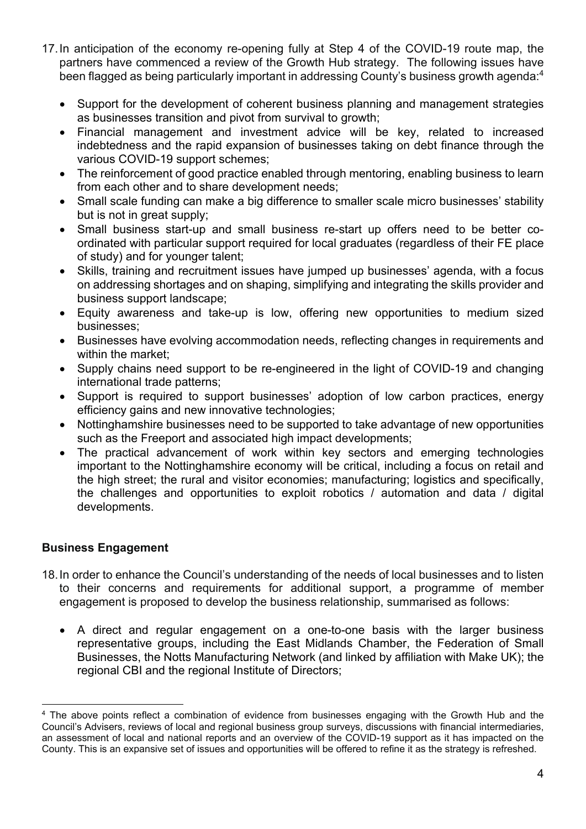- 17. In anticipation of the economy re-opening fully at Step 4 of the COVID-19 route map, the partners have commenced a review of the Growth Hub strategy. The following issues have been flagged as being particularly important in addressing County's business growth agenda:<sup>4</sup>
	- Support for the development of coherent business planning and management strategies as businesses transition and pivot from survival to growth;
	- Financial management and investment advice will be key, related to increased indebtedness and the rapid expansion of businesses taking on debt finance through the various COVID-19 support schemes;
	- The reinforcement of good practice enabled through mentoring, enabling business to learn from each other and to share development needs;
	- Small scale funding can make a big difference to smaller scale micro businesses' stability but is not in great supply;
	- Small business start-up and small business re-start up offers need to be better coordinated with particular support required for local graduates (regardless of their FE place of study) and for younger talent;
	- Skills, training and recruitment issues have jumped up businesses' agenda, with a focus on addressing shortages and on shaping, simplifying and integrating the skills provider and business support landscape;
	- Equity awareness and take-up is low, offering new opportunities to medium sized businesses;
	- Businesses have evolving accommodation needs, reflecting changes in requirements and within the market:
	- Supply chains need support to be re-engineered in the light of COVID-19 and changing international trade patterns;
	- Support is required to support businesses' adoption of low carbon practices, energy efficiency gains and new innovative technologies;
	- Nottinghamshire businesses need to be supported to take advantage of new opportunities such as the Freeport and associated high impact developments;
	- The practical advancement of work within key sectors and emerging technologies important to the Nottinghamshire economy will be critical, including a focus on retail and the high street; the rural and visitor economies; manufacturing; logistics and specifically, the challenges and opportunities to exploit robotics / automation and data / digital developments.

### **Business Engagement**

- 18. In order to enhance the Council's understanding of the needs of local businesses and to listen to their concerns and requirements for additional support, a programme of member engagement is proposed to develop the business relationship, summarised as follows:
	- A direct and regular engagement on a one-to-one basis with the larger business representative groups, including the East Midlands Chamber, the Federation of Small Businesses, the Notts Manufacturing Network (and linked by affiliation with Make UK); the regional CBI and the regional Institute of Directors;

<sup>4</sup> The above points reflect a combination of evidence from businesses engaging with the Growth Hub and the Council's Advisers, reviews of local and regional business group surveys, discussions with financial intermediaries, an assessment of local and national reports and an overview of the COVID-19 support as it has impacted on the County. This is an expansive set of issues and opportunities will be offered to refine it as the strategy is refreshed.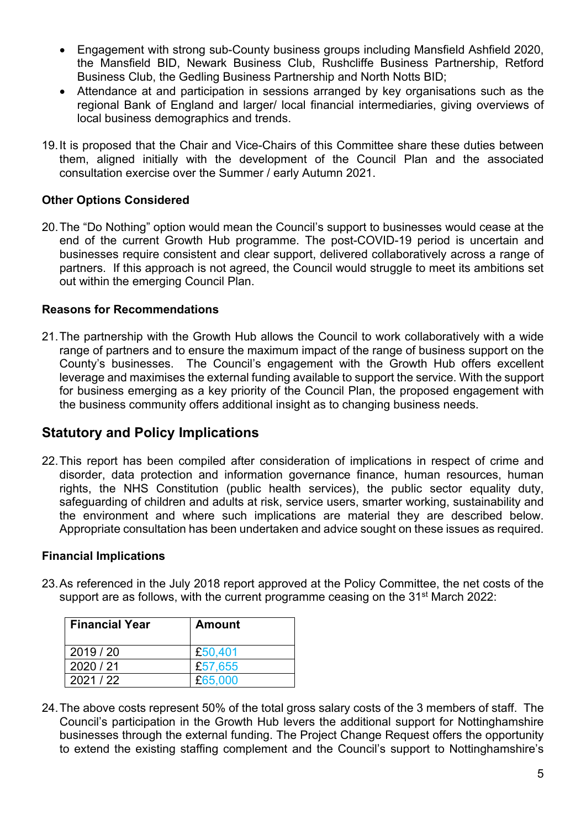- Engagement with strong sub-County business groups including Mansfield Ashfield 2020, the Mansfield BID, Newark Business Club, Rushcliffe Business Partnership, Retford Business Club, the Gedling Business Partnership and North Notts BID;
- Attendance at and participation in sessions arranged by key organisations such as the regional Bank of England and larger/ local financial intermediaries, giving overviews of local business demographics and trends.
- 19. It is proposed that the Chair and Vice-Chairs of this Committee share these duties between them, aligned initially with the development of the Council Plan and the associated consultation exercise over the Summer / early Autumn 2021.

### **Other Options Considered**

20. The "Do Nothing" option would mean the Council's support to businesses would cease at the end of the current Growth Hub programme. The post-COVID-19 period is uncertain and businesses require consistent and clear support, delivered collaboratively across a range of partners. If this approach is not agreed, the Council would struggle to meet its ambitions set out within the emerging Council Plan.

### **Reasons for Recommendations**

21. The partnership with the Growth Hub allows the Council to work collaboratively with a wide range of partners and to ensure the maximum impact of the range of business support on the County's businesses. The Council's engagement with the Growth Hub offers excellent leverage and maximises the external funding available to support the service. With the support for business emerging as a key priority of the Council Plan, the proposed engagement with the business community offers additional insight as to changing business needs.

### **Statutory and Policy Implications**

22. This report has been compiled after consideration of implications in respect of crime and disorder, data protection and information governance finance, human resources, human rights, the NHS Constitution (public health services), the public sector equality duty, safeguarding of children and adults at risk, service users, smarter working, sustainability and the environment and where such implications are material they are described below. Appropriate consultation has been undertaken and advice sought on these issues as required.

#### **Financial Implications**

23. As referenced in the July 2018 report approved at the Policy Committee, the net costs of the support are as follows, with the current programme ceasing on the 31<sup>st</sup> March 2022:

| <b>Financial Year</b> | <b>Amount</b> |
|-----------------------|---------------|
| 2019/20               | £50,401       |
| 2020/21               | £57,655       |
| 2021/22               | £65,000       |

24. The above costs represent 50% of the total gross salary costs of the 3 members of staff. The Council's participation in the Growth Hub levers the additional support for Nottinghamshire businesses through the external funding. The Project Change Request offers the opportunity to extend the existing staffing complement and the Council's support to Nottinghamshire's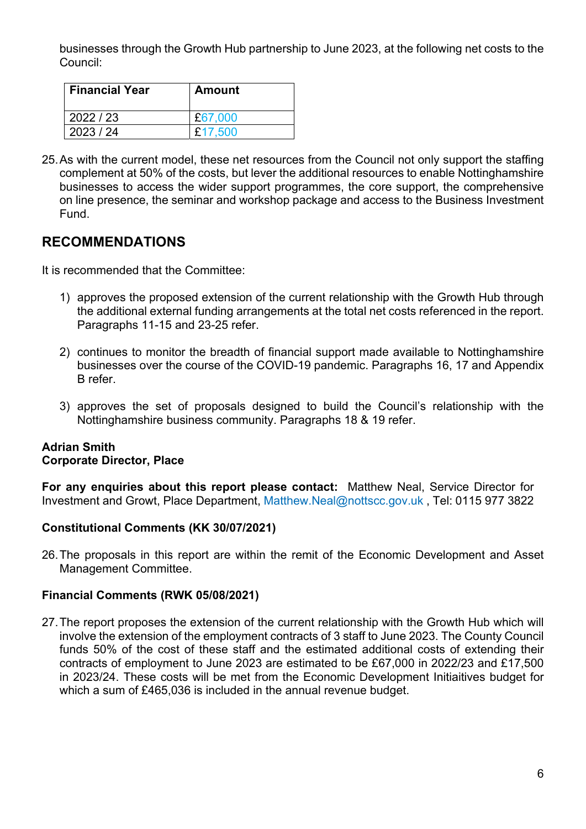businesses through the Growth Hub partnership to June 2023, at the following net costs to the Council:

| <b>Financial Year</b> | Amount  |
|-----------------------|---------|
| 2022 / 23             | £67,000 |
| 2023/24               | £17,500 |

25. As with the current model, these net resources from the Council not only support the staffing complement at 50% of the costs, but lever the additional resources to enable Nottinghamshire businesses to access the wider support programmes, the core support, the comprehensive on line presence, the seminar and workshop package and access to the Business Investment Fund.

## **RECOMMENDATIONS**

It is recommended that the Committee:

- 1) approves the proposed extension of the current relationship with the Growth Hub through the additional external funding arrangements at the total net costs referenced in the report. Paragraphs 11-15 and 23-25 refer.
- 2) continues to monitor the breadth of financial support made available to Nottinghamshire businesses over the course of the COVID-19 pandemic. Paragraphs 16, 17 and Appendix B refer.
- 3) approves the set of proposals designed to build the Council's relationship with the Nottinghamshire business community. Paragraphs 18 & 19 refer.

### **Adrian Smith Corporate Director, Place**

**For any enquiries about this report please contact:** Matthew Neal, Service Director for Investment and Growt, Place Department, Matthew.Neal@nottscc.gov.uk , Tel: 0115 977 3822

### **Constitutional Comments (KK 30/07/2021)**

26. The proposals in this report are within the remit of the Economic Development and Asset Management Committee.

### **Financial Comments (RWK 05/08/2021)**

27. The report proposes the extension of the current relationship with the Growth Hub which will involve the extension of the employment contracts of 3 staff to June 2023. The County Council funds 50% of the cost of these staff and the estimated additional costs of extending their contracts of employment to June 2023 are estimated to be £67,000 in 2022/23 and £17,500 in 2023/24. These costs will be met from the Economic Development Initiaitives budget for which a sum of £465,036 is included in the annual revenue budget.